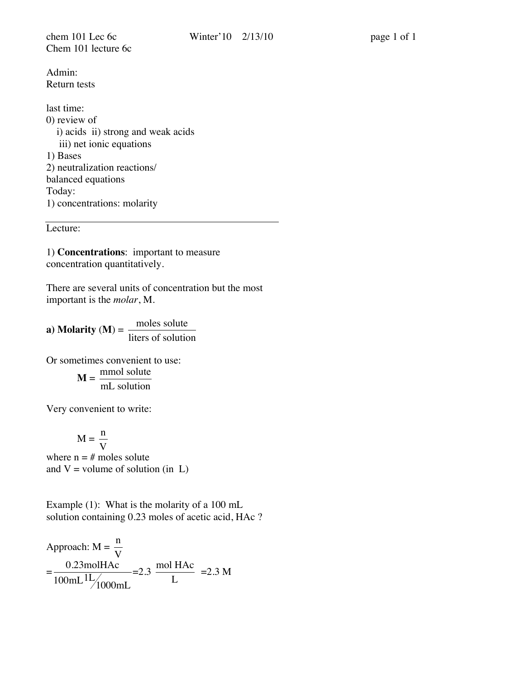chem 101 Lec 6c Winter' 10 2/13/10 page 1 of 1 Chem 101 lecture 6c

Admin: Return tests

last time: 0) review of i) acids ii) strong and weak acids iii) net ionic equations 1) Bases 2) neutralization reactions/ balanced equations Today: 1) concentrations: molarity

Lecture:

1) **Concentrations**: important to measure concentration quantitatively.

There are several units of concentration but the most important is the *molar*, M.

**a**) **Molarity** (**M**) =  $\frac{\text{moles solute}}{\text{moles at a}}$ liters of solution

Or sometimes convenient to use:

$$
M = \frac{mmol \; solute}{mL \; solution}
$$

Very convenient to write:

$$
M = \frac{n}{V}
$$

where  $n = #$  moles solute and  $V =$  volume of solution (in L)

Example (1): What is the molarity of a 100 mL solution containing 0.23 moles of acetic acid, HAc ?

Approach: 
$$
M = \frac{n}{V}
$$

\n
$$
= \frac{0.23 \text{mol} \cdot \text{H} \cdot \text{A}}{100 \text{m} \cdot \text{L} \cdot \text{A}} = 2.3 \text{ mol} \cdot \text{H} \cdot \text{A} \cdot \text{A} \cdot \text{B}
$$
\n
$$
= 2.3 \text{ M}
$$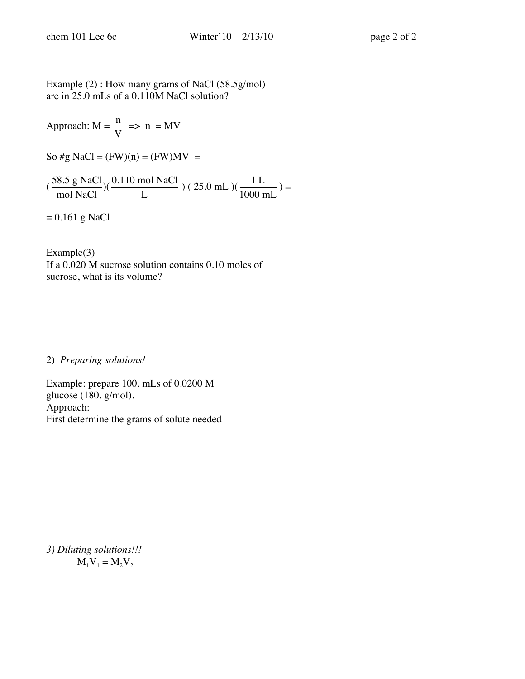Example (2) : How many grams of NaCl (58.5g/mol) are in 25.0 mLs of a 0.110M NaCl solution?

Approach:  $M = \frac{n}{\sqrt{n}}$ V  $\Rightarrow$  n = MV

So #g NaCl =  $(FW)(n) = (FW)MV =$ 

 $\sigma$  $(\frac{58.5 \text{ g NaCl}}{\text{mol NaCl}})(\frac{0.110 \text{ mol NaCl}}{\text{L}})$  (25.0 mL) $(\frac{1 \text{ L}}{1000 \text{ mL}})$  =

 $= 0.161$  g NaCl

Example(3) If a 0.020 M sucrose solution contains 0.10 moles of sucrose, what is its volume?

2) *Preparing solutions!* 

Example: prepare 100. mLs of 0.0200 M glucose (180. g/mol). Approach: First determine the grams of solute needed

*3) Diluting solutions!!!*  $M_1V_1 = M_2V_2$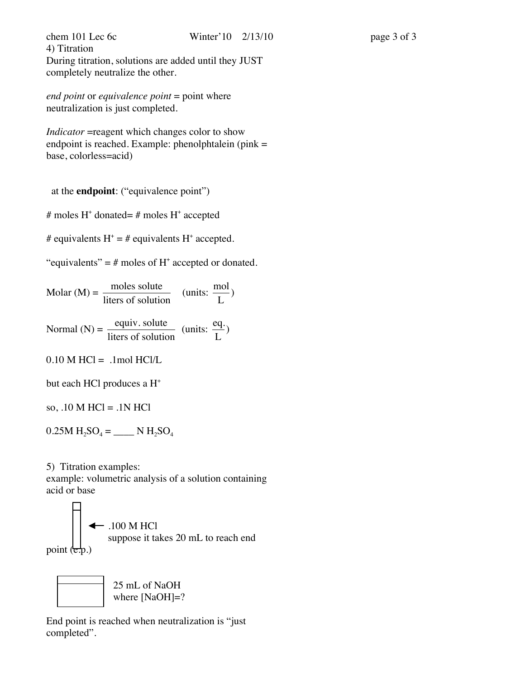chem 101 Lec 6c Winter' 10 2/13/10 page 3 of 3 4) Titration During titration, solutions are added until they JUST completely neutralize the other.

*end point* or *equivalence point* = point where neutralization is just completed.

*Indicator* = reagent which changes color to show endpoint is reached. Example: phenolphtalein (pink = base, colorless=acid)

at the **endpoint**: ("equivalence point")

# moles H<sup>+</sup> donated= # moles H<sup>+</sup> accepted

# equivalents  $H^+ = #$  equivalents  $H^+$  accepted.

"equivalents" =  $#$  moles of  $H^+$  accepted or donated.

Molar (M) = 
$$
\frac{\text{moles solute}}{\text{liters of solution}}
$$
 (units:  $\frac{\text{mol}}{\text{L}}$ )  
Normal (N) =  $\frac{\text{equiv. solute}}{\text{liters of solution}}$  (units:  $\frac{\text{eq.}}{\text{L}}$ )  
0.10 M HCl = .1mol HCl/L  
but each HCl produces a H<sup>+</sup>  
so, .10 M HCl = .1N HCl

 $0.25M H_2SO_4 =$  \_\_\_\_\_\_\_ N  $H_2SO_4$ 

5) Titration examples:

example: volumetric analysis of a solution containing acid or base



 25 mL of NaOH where [NaOH]=?

End point is reached when neutralization is "just completed".